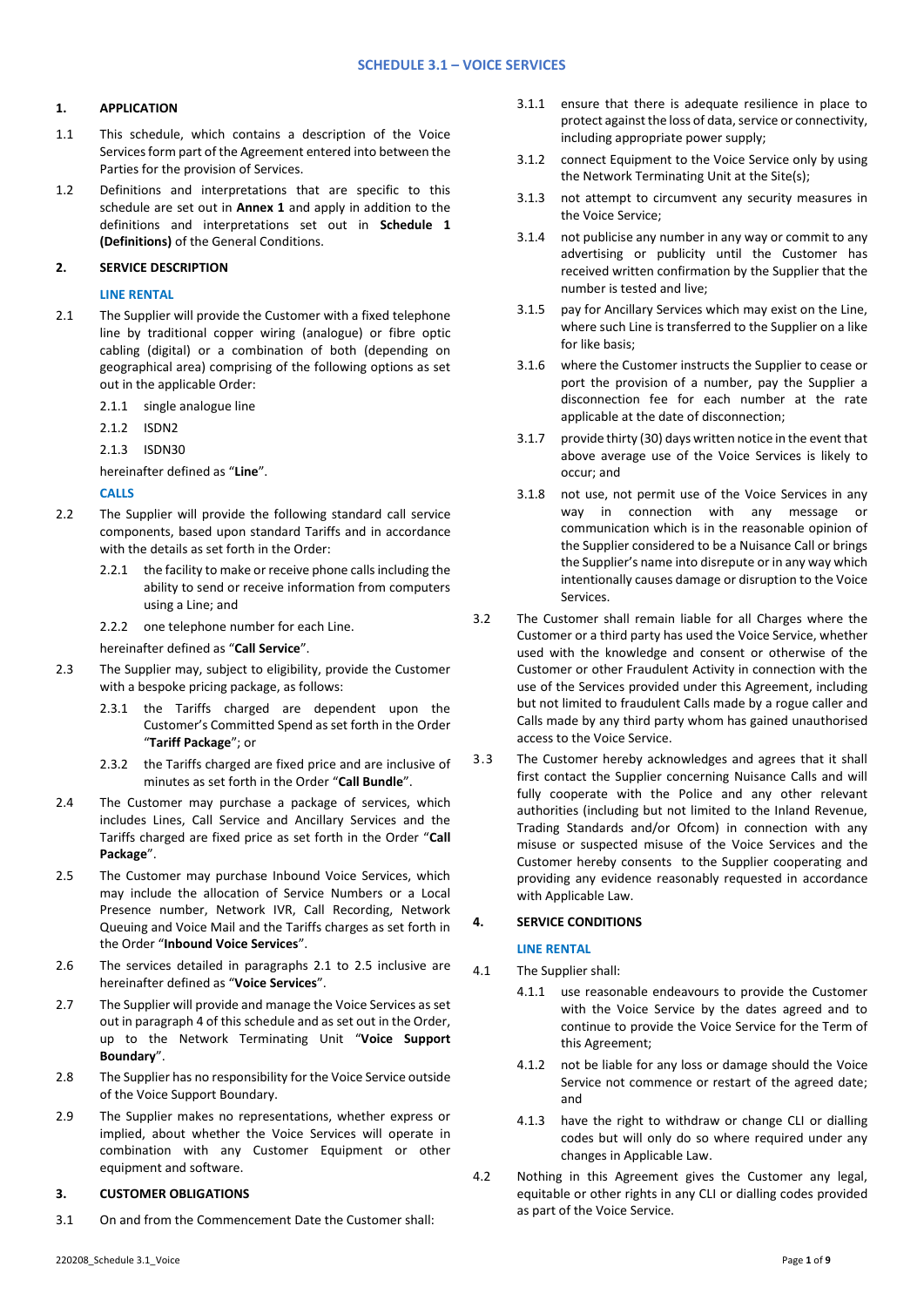# **1. APPLICATION**

- 1.1 This schedule, which contains a description of the Voice Services form part of the Agreement entered into between the Parties for the provision of Services.
- 1.2 Definitions and interpretations that are specific to this schedule are set out in **Annex 1** and apply in addition to the definitions and interpretations set out in **Schedule 1 (Definitions)** of the General Conditions.

# **2. SERVICE DESCRIPTION**

### **LINE RENTAL**

- 2.1 The Supplier will provide the Customer with a fixed telephone line by traditional copper wiring (analogue) or fibre optic cabling (digital) or a combination of both (depending on geographical area) comprising of the following options as set out in the applicable Order:
	- 2.1.1 single analogue line
	- 2.1.2 ISDN2
	- 2.1.3 ISDN30

hereinafter defined as "**Line**".

## **CALLS**

- 2.2 The Supplier will provide the following standard call service components, based upon standard Tariffs and in accordance with the details as set forth in the Order:
	- 2.2.1 the facility to make or receive phone calls including the ability to send or receive information from computers using a Line; and
	- 2.2.2 one telephone number for each Line.

hereinafter defined as "**Call Service**".

- 2.3 The Supplier may, subject to eligibility, provide the Customer with a bespoke pricing package, as follows:
	- 2.3.1 the Tariffs charged are dependent upon the Customer's Committed Spend as set forth in the Order "**Tariff Package**"; or
	- 2.3.2 the Tariffs charged are fixed price and are inclusive of minutes as set forth in the Order "**Call Bundle**".
- 2.4 The Customer may purchase a package of services, which includes Lines, Call Service and Ancillary Services and the Tariffs charged are fixed price as set forth in the Order "**Call Package**".
- 2.5 The Customer may purchase Inbound Voice Services, which may include the allocation of Service Numbers or a Local Presence number, Network IVR, Call Recording, Network Queuing and Voice Mail and the Tariffs charges as set forth in the Order "**Inbound Voice Services**".
- 2.6 The services detailed in paragraphs 2.1 to 2.5 inclusive are hereinafter defined as "**Voice Services**".
- 2.7 The Supplier will provide and manage the Voice Services as set out in paragraph 4 of this schedule and as set out in the Order, up to the Network Terminating Unit "**Voice Support Boundary**".
- 2.8 The Supplier has no responsibility for the Voice Service outside of the Voice Support Boundary.
- 2.9 The Supplier makes no representations, whether express or implied, about whether the Voice Services will operate in combination with any Customer Equipment or other equipment and software.

# **3. CUSTOMER OBLIGATIONS**

3.1 On and from the Commencement Date the Customer shall:

- 3.1.1 ensure that there is adequate resilience in place to protect against the loss of data, service or connectivity, including appropriate power supply;
- 3.1.2 connect Equipment to the Voice Service only by using the Network Terminating Unit at the Site(s);
- 3.1.3 not attempt to circumvent any security measures in the Voice Service;
- 3.1.4 not publicise any number in any way or commit to any advertising or publicity until the Customer has received written confirmation by the Supplier that the number is tested and live;
- 3.1.5 pay for Ancillary Services which may exist on the Line, where such Line is transferred to the Supplier on a like for like basis;
- 3.1.6 where the Customer instructs the Supplier to cease or port the provision of a number, pay the Supplier a disconnection fee for each number at the rate applicable at the date of disconnection;
- 3.1.7 provide thirty (30) days written notice in the event that above average use of the Voice Services is likely to occur; and
- 3.1.8 not use, not permit use of the Voice Services in any way in connection with any message or communication which is in the reasonable opinion of the Supplier considered to be a Nuisance Call or brings the Supplier's name into disrepute or in any way which intentionally causes damage or disruption to the Voice Services.
- 3.2 The Customer shall remain liable for all Charges where the Customer or a third party has used the Voice Service, whether used with the knowledge and consent or otherwise of the Customer or other Fraudulent Activity in connection with the use of the Services provided under this Agreement, including but not limited to fraudulent Calls made by a rogue caller and Calls made by any third party whom has gained unauthorised access to the Voice Service.
- 3.3 The Customer hereby acknowledges and agrees that it shall first contact the Supplier concerning Nuisance Calls and will fully cooperate with the Police and any other relevant authorities (including but not limited to the Inland Revenue, Trading Standards and/or Ofcom) in connection with any misuse or suspected misuse of the Voice Services and the Customer hereby consents to the Supplier cooperating and providing any evidence reasonably requested in accordance with Applicable Law.

# **4. SERVICE CONDITIONS**

## **LINE RENTAL**

- 4.1 The Supplier shall:
	- 4.1.1 use reasonable endeavours to provide the Customer with the Voice Service by the dates agreed and to continue to provide the Voice Service for the Term of this Agreement;
	- 4.1.2 not be liable for any loss or damage should the Voice Service not commence or restart of the agreed date; and
	- 4.1.3 have the right to withdraw or change CLI or dialling codes but will only do so where required under any changes in Applicable Law.
- 4.2 Nothing in this Agreement gives the Customer any legal, equitable or other rights in any CLI or dialling codes provided as part of the Voice Service.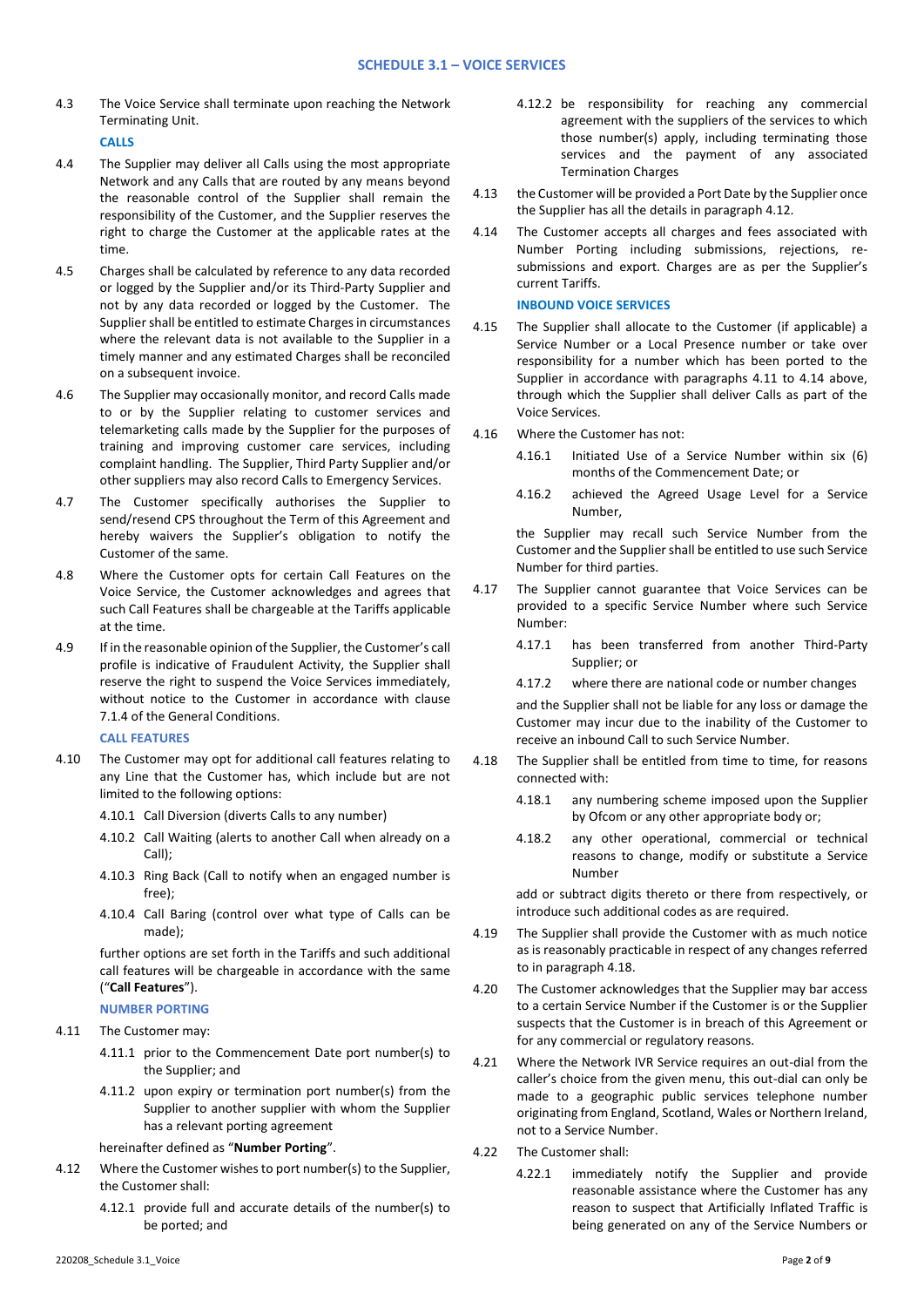4.3 The Voice Service shall terminate upon reaching the Network Terminating Unit.

**CALLS**

- 4.4 The Supplier may deliver all Calls using the most appropriate Network and any Calls that are routed by any means beyond the reasonable control of the Supplier shall remain the responsibility of the Customer, and the Supplier reserves the right to charge the Customer at the applicable rates at the time.
- 4.5 Charges shall be calculated by reference to any data recorded or logged by the Supplier and/or its Third-Party Supplier and not by any data recorded or logged by the Customer. The Supplier shall be entitled to estimate Charges in circumstances where the relevant data is not available to the Supplier in a timely manner and any estimated Charges shall be reconciled on a subsequent invoice.
- 4.6 The Supplier may occasionally monitor, and record Calls made to or by the Supplier relating to customer services and telemarketing calls made by the Supplier for the purposes of training and improving customer care services, including complaint handling. The Supplier, Third Party Supplier and/or other suppliers may also record Calls to Emergency Services.
- 4.7 The Customer specifically authorises the Supplier to send/resend CPS throughout the Term of this Agreement and hereby waivers the Supplier's obligation to notify the Customer of the same.
- 4.8 Where the Customer opts for certain Call Features on the Voice Service, the Customer acknowledges and agrees that such Call Features shall be chargeable at the Tariffs applicable at the time.
- 4.9 If in the reasonable opinion of the Supplier, the Customer's call profile is indicative of Fraudulent Activity, the Supplier shall reserve the right to suspend the Voice Services immediately, without notice to the Customer in accordance with clause 7.1.4 of the General Conditions.

**CALL FEATURES**

- 4.10 The Customer may opt for additional call features relating to any Line that the Customer has, which include but are not limited to the following options:
	- 4.10.1 Call Diversion (diverts Calls to any number)
	- 4.10.2 Call Waiting (alerts to another Call when already on a Call);
	- 4.10.3 Ring Back (Call to notify when an engaged number is free);
	- 4.10.4 Call Baring (control over what type of Calls can be made);

further options are set forth in the Tariffs and such additional call features will be chargeable in accordance with the same ("**Call Features**").

#### **NUMBER PORTING**

- 4.11 The Customer may:
	- 4.11.1 prior to the Commencement Date port number(s) to the Supplier; and
	- 4.11.2 upon expiry or termination port number(s) from the Supplier to another supplier with whom the Supplier has a relevant porting agreement

hereinafter defined as "**Number Porting**".

- 4.12 Where the Customer wishes to port number(s) to the Supplier, the Customer shall:
	- 4.12.1 provide full and accurate details of the number(s) to be ported; and
- 4.12.2 be responsibility for reaching any commercial agreement with the suppliers of the services to which those number(s) apply, including terminating those services and the payment of any associated Termination Charges
- 4.13 the Customer will be provided a Port Date by the Supplier once the Supplier has all the details in paragraph 4.12.
- 4.14 The Customer accepts all charges and fees associated with Number Porting including submissions, rejections, resubmissions and export. Charges are as per the Supplier's current Tariffs.

**INBOUND VOICE SERVICES**

- 4.15 The Supplier shall allocate to the Customer (if applicable) a Service Number or a Local Presence number or take over responsibility for a number which has been ported to the Supplier in accordance with paragraphs 4.11 to 4.14 above, through which the Supplier shall deliver Calls as part of the Voice Services.
- 4.16 Where the Customer has not:
	- 4.16.1 Initiated Use of a Service Number within six (6) months of the Commencement Date; or
	- 4.16.2 achieved the Agreed Usage Level for a Service Number,

the Supplier may recall such Service Number from the Customer and the Supplier shall be entitled to use such Service Number for third parties.

- 4.17 The Supplier cannot guarantee that Voice Services can be provided to a specific Service Number where such Service Number:
	- 4.17.1 has been transferred from another Third-Party Supplier; or
	- 4.17.2 where there are national code or number changes

and the Supplier shall not be liable for any loss or damage the Customer may incur due to the inability of the Customer to receive an inbound Call to such Service Number.

- 4.18 The Supplier shall be entitled from time to time, for reasons connected with:
	- 4.18.1 any numbering scheme imposed upon the Supplier by Ofcom or any other appropriate body or;
	- 4.18.2 any other operational, commercial or technical reasons to change, modify or substitute a Service Number

add or subtract digits thereto or there from respectively, or introduce such additional codes as are required.

- 4.19 The Supplier shall provide the Customer with as much notice as is reasonably practicable in respect of any changes referred to in paragraph 4.18.
- 4.20 The Customer acknowledges that the Supplier may bar access to a certain Service Number if the Customer is or the Supplier suspects that the Customer is in breach of this Agreement or for any commercial or regulatory reasons.
- 4.21 Where the Network IVR Service requires an out-dial from the caller's choice from the given menu, this out-dial can only be made to a geographic public services telephone number originating from England, Scotland, Wales or Northern Ireland, not to a Service Number.
- 4.22 The Customer shall:
	- 4.22.1 immediately notify the Supplier and provide reasonable assistance where the Customer has any reason to suspect that Artificially Inflated Traffic is being generated on any of the Service Numbers or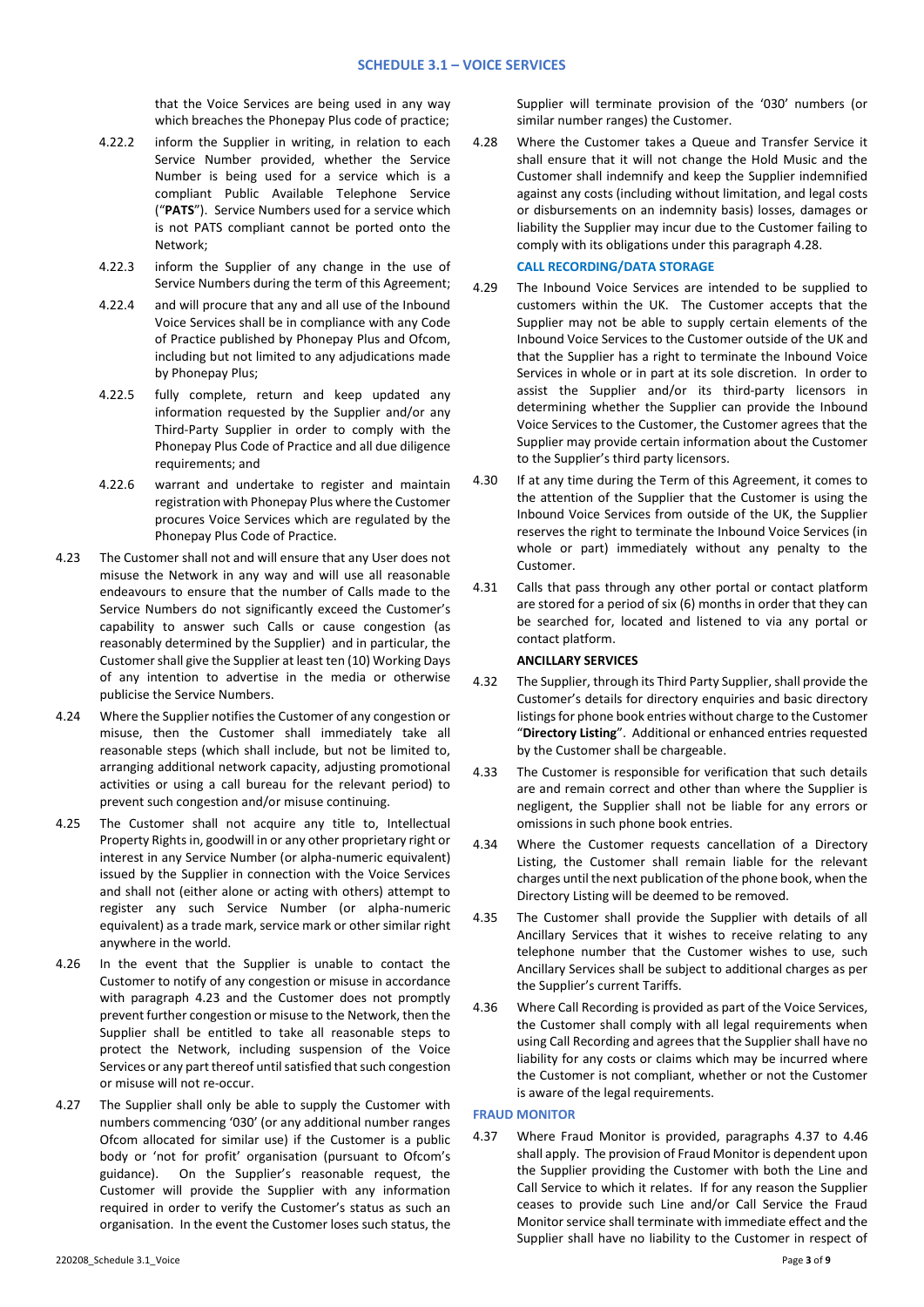that the Voice Services are being used in any way which breaches the Phonepay Plus code of practice;

- 4.22.2 inform the Supplier in writing, in relation to each Service Number provided, whether the Service Number is being used for a service which is a compliant Public Available Telephone Service ("**PATS**"). Service Numbers used for a service which is not PATS compliant cannot be ported onto the Network;
- 4.22.3 inform the Supplier of any change in the use of Service Numbers during the term of this Agreement;
- 4.22.4 and will procure that any and all use of the Inbound Voice Services shall be in compliance with any Code of Practice published by Phonepay Plus and Ofcom, including but not limited to any adjudications made by Phonepay Plus;
- 4.22.5 fully complete, return and keep updated any information requested by the Supplier and/or any Third-Party Supplier in order to comply with the Phonepay Plus Code of Practice and all due diligence requirements; and
- 4.22.6 warrant and undertake to register and maintain registration with Phonepay Plus where the Customer procures Voice Services which are regulated by the Phonepay Plus Code of Practice.
- 4.23 The Customer shall not and will ensure that any User does not misuse the Network in any way and will use all reasonable endeavours to ensure that the number of Calls made to the Service Numbers do not significantly exceed the Customer's capability to answer such Calls or cause congestion (as reasonably determined by the Supplier) and in particular, the Customer shall give the Supplier at least ten (10) Working Days of any intention to advertise in the media or otherwise publicise the Service Numbers.
- 4.24 Where the Supplier notifies the Customer of any congestion or misuse, then the Customer shall immediately take all reasonable steps (which shall include, but not be limited to, arranging additional network capacity, adjusting promotional activities or using a call bureau for the relevant period) to prevent such congestion and/or misuse continuing.
- 4.25 The Customer shall not acquire any title to, Intellectual Property Rights in, goodwill in or any other proprietary right or interest in any Service Number (or alpha-numeric equivalent) issued by the Supplier in connection with the Voice Services and shall not (either alone or acting with others) attempt to register any such Service Number (or alpha-numeric equivalent) as a trade mark, service mark or other similar right anywhere in the world.
- 4.26 In the event that the Supplier is unable to contact the Customer to notify of any congestion or misuse in accordance with paragraph 4.23 and the Customer does not promptly prevent further congestion or misuse to the Network, then the Supplier shall be entitled to take all reasonable steps to protect the Network, including suspension of the Voice Services or any part thereof until satisfied that such congestion or misuse will not re-occur.
- 4.27 The Supplier shall only be able to supply the Customer with numbers commencing '030' (or any additional number ranges Ofcom allocated for similar use) if the Customer is a public body or 'not for profit' organisation (pursuant to Ofcom's guidance). On the Supplier's reasonable request, the Customer will provide the Supplier with any information required in order to verify the Customer's status as such an organisation. In the event the Customer loses such status, the

Supplier will terminate provision of the '030' numbers (or similar number ranges) the Customer.

4.28 Where the Customer takes a Queue and Transfer Service it shall ensure that it will not change the Hold Music and the Customer shall indemnify and keep the Supplier indemnified against any costs (including without limitation, and legal costs or disbursements on an indemnity basis) losses, damages or liability the Supplier may incur due to the Customer failing to comply with its obligations under this paragraph 4.28.

# **CALL RECORDING/DATA STORAGE**

- 4.29 The Inbound Voice Services are intended to be supplied to customers within the UK. The Customer accepts that the Supplier may not be able to supply certain elements of the Inbound Voice Services to the Customer outside of the UK and that the Supplier has a right to terminate the Inbound Voice Services in whole or in part at its sole discretion. In order to assist the Supplier and/or its third-party licensors in determining whether the Supplier can provide the Inbound Voice Services to the Customer, the Customer agrees that the Supplier may provide certain information about the Customer to the Supplier's third party licensors.
- 4.30 If at any time during the Term of this Agreement, it comes to the attention of the Supplier that the Customer is using the Inbound Voice Services from outside of the UK, the Supplier reserves the right to terminate the Inbound Voice Services (in whole or part) immediately without any penalty to the Customer.
- 4.31 Calls that pass through any other portal or contact platform are stored for a period of six (6) months in order that they can be searched for, located and listened to via any portal or contact platform.

### **ANCILLARY SERVICES**

- 4.32 The Supplier, through its Third Party Supplier, shall provide the Customer's details for directory enquiries and basic directory listings for phone book entries without charge to the Customer "**Directory Listing**". Additional or enhanced entries requested by the Customer shall be chargeable.
- 4.33 The Customer is responsible for verification that such details are and remain correct and other than where the Supplier is negligent, the Supplier shall not be liable for any errors or omissions in such phone book entries.
- 4.34 Where the Customer requests cancellation of a Directory Listing, the Customer shall remain liable for the relevant charges until the next publication of the phone book, when the Directory Listing will be deemed to be removed.
- 4.35 The Customer shall provide the Supplier with details of all Ancillary Services that it wishes to receive relating to any telephone number that the Customer wishes to use, such Ancillary Services shall be subject to additional charges as per the Supplier's current Tariffs.
- 4.36 Where Call Recording is provided as part of the Voice Services, the Customer shall comply with all legal requirements when using Call Recording and agrees that the Supplier shall have no liability for any costs or claims which may be incurred where the Customer is not compliant, whether or not the Customer is aware of the legal requirements.

### **FRAUD MONITOR**

4.37 Where Fraud Monitor is provided, paragraphs 4.37 to 4.46 shall apply. The provision of Fraud Monitor is dependent upon the Supplier providing the Customer with both the Line and Call Service to which it relates. If for any reason the Supplier ceases to provide such Line and/or Call Service the Fraud Monitor service shall terminate with immediate effect and the Supplier shall have no liability to the Customer in respect of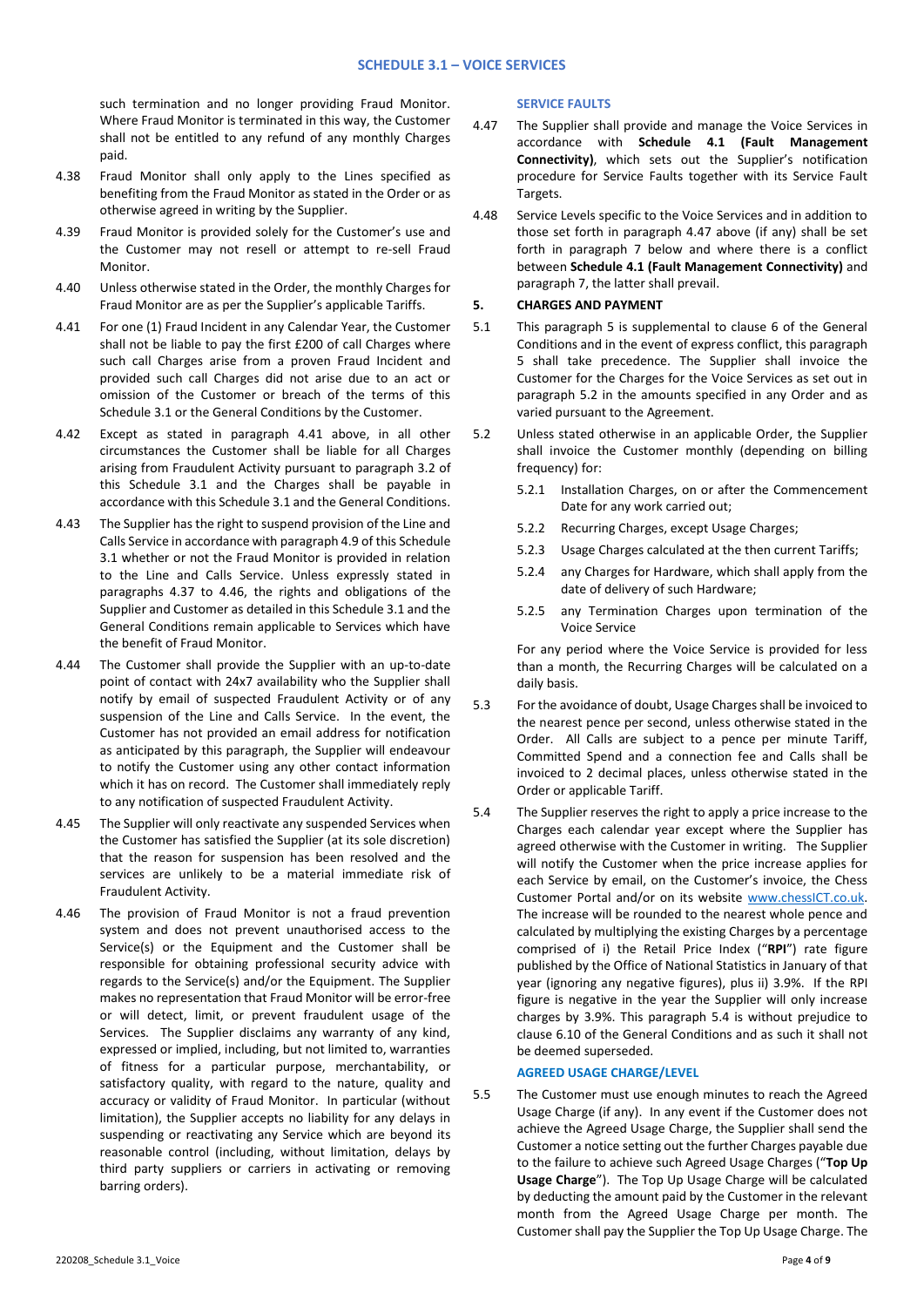such termination and no longer providing Fraud Monitor. Where Fraud Monitor is terminated in this way, the Customer shall not be entitled to any refund of any monthly Charges paid.

- 4.38 Fraud Monitor shall only apply to the Lines specified as benefiting from the Fraud Monitor as stated in the Order or as otherwise agreed in writing by the Supplier.
- 4.39 Fraud Monitor is provided solely for the Customer's use and the Customer may not resell or attempt to re-sell Fraud Monitor.
- 4.40 Unless otherwise stated in the Order, the monthly Charges for Fraud Monitor are as per the Supplier's applicable Tariffs.
- 4.41 For one (1) Fraud Incident in any Calendar Year, the Customer shall not be liable to pay the first £200 of call Charges where such call Charges arise from a proven Fraud Incident and provided such call Charges did not arise due to an act or omission of the Customer or breach of the terms of this Schedule 3.1 or the General Conditions by the Customer.
- 4.42 Except as stated in paragraph 4.41 above, in all other circumstances the Customer shall be liable for all Charges arising from Fraudulent Activity pursuant to paragraph 3.2 of this Schedule 3.1 and the Charges shall be payable in accordance with this Schedule 3.1 and the General Conditions.
- 4.43 The Supplier has the right to suspend provision of the Line and Calls Service in accordance with paragraph 4.9 of this Schedule 3.1 whether or not the Fraud Monitor is provided in relation to the Line and Calls Service. Unless expressly stated in paragraphs 4.37 to 4.46, the rights and obligations of the Supplier and Customer as detailed in this Schedule 3.1 and the General Conditions remain applicable to Services which have the benefit of Fraud Monitor.
- 4.44 The Customer shall provide the Supplier with an up-to-date point of contact with 24x7 availability who the Supplier shall notify by email of suspected Fraudulent Activity or of any suspension of the Line and Calls Service. In the event, the Customer has not provided an email address for notification as anticipated by this paragraph, the Supplier will endeavour to notify the Customer using any other contact information which it has on record. The Customer shall immediately reply to any notification of suspected Fraudulent Activity.
- 4.45 The Supplier will only reactivate any suspended Services when the Customer has satisfied the Supplier (at its sole discretion) that the reason for suspension has been resolved and the services are unlikely to be a material immediate risk of Fraudulent Activity.
- 4.46 The provision of Fraud Monitor is not a fraud prevention system and does not prevent unauthorised access to the Service(s) or the Equipment and the Customer shall be responsible for obtaining professional security advice with regards to the Service(s) and/or the Equipment. The Supplier makes no representation that Fraud Monitor will be error-free or will detect, limit, or prevent fraudulent usage of the Services. The Supplier disclaims any warranty of any kind, expressed or implied, including, but not limited to, warranties of fitness for a particular purpose, merchantability, or satisfactory quality, with regard to the nature, quality and accuracy or validity of Fraud Monitor. In particular (without limitation), the Supplier accepts no liability for any delays in suspending or reactivating any Service which are beyond its reasonable control (including, without limitation, delays by third party suppliers or carriers in activating or removing barring orders).

#### **SERVICE FAULTS**

- 4.47 The Supplier shall provide and manage the Voice Services in accordance with **Schedule 4.1 (Fault Management Connectivity)**, which sets out the Supplier's notification procedure for Service Faults together with its Service Fault Targets.
- 4.48 Service Levels specific to the Voice Services and in addition to those set forth in paragraph 4.47 above (if any) shall be set forth in paragraph 7 below and where there is a conflict between **Schedule 4.1 (Fault Management Connectivity)** and paragraph 7, the latter shall prevail.

# **5. CHARGES AND PAYMENT**

- 5.1 This paragraph 5 is supplemental to clause 6 of the General Conditions and in the event of express conflict, this paragraph 5 shall take precedence. The Supplier shall invoice the Customer for the Charges for the Voice Services as set out in paragraph [5.2](#page-3-0) in the amounts specified in any Order and as varied pursuant to the Agreement.
- <span id="page-3-0"></span>5.2 Unless stated otherwise in an applicable Order, the Supplier shall invoice the Customer monthly (depending on billing frequency) for:
	- 5.2.1 Installation Charges, on or after the Commencement Date for any work carried out;
	- 5.2.2 Recurring Charges, except Usage Charges;
	- 5.2.3 Usage Charges calculated at the then current Tariffs;
	- 5.2.4 any Charges for Hardware, which shall apply from the date of delivery of such Hardware;
	- 5.2.5 any Termination Charges upon termination of the Voice Service

For any period where the Voice Service is provided for less than a month, the Recurring Charges will be calculated on a daily basis.

- 5.3 For the avoidance of doubt, Usage Charges shall be invoiced to the nearest pence per second, unless otherwise stated in the Order. All Calls are subject to a pence per minute Tariff, Committed Spend and a connection fee and Calls shall be invoiced to 2 decimal places, unless otherwise stated in the Order or applicable Tariff.
- 5.4 The Supplier reserves the right to apply a price increase to the Charges each calendar year except where the Supplier has agreed otherwise with the Customer in writing. The Supplier will notify the Customer when the price increase applies for each Service by email, on the Customer's invoice, the Chess Customer Portal and/or on its website [www.chessICT.co.uk.](http://www.chessict.co.uk/) The increase will be rounded to the nearest whole pence and calculated by multiplying the existing Charges by a percentage comprised of i) the Retail Price Index ("**RPI**") rate figure published by the Office of National Statistics in January of that year (ignoring any negative figures), plus ii) 3.9%. If the RPI figure is negative in the year the Supplier will only increase charges by 3.9%. This paragraph 5.4 is without prejudice to clause 6.10 of the General Conditions and as such it shall not be deemed superseded.

#### **AGREED USAGE CHARGE/LEVEL**

5.5 The Customer must use enough minutes to reach the Agreed Usage Charge (if any). In any event if the Customer does not achieve the Agreed Usage Charge, the Supplier shall send the Customer a notice setting out the further Charges payable due to the failure to achieve such Agreed Usage Charges ("**Top Up Usage Charge**"). The Top Up Usage Charge will be calculated by deducting the amount paid by the Customer in the relevant month from the Agreed Usage Charge per month. The Customer shall pay the Supplier the Top Up Usage Charge. The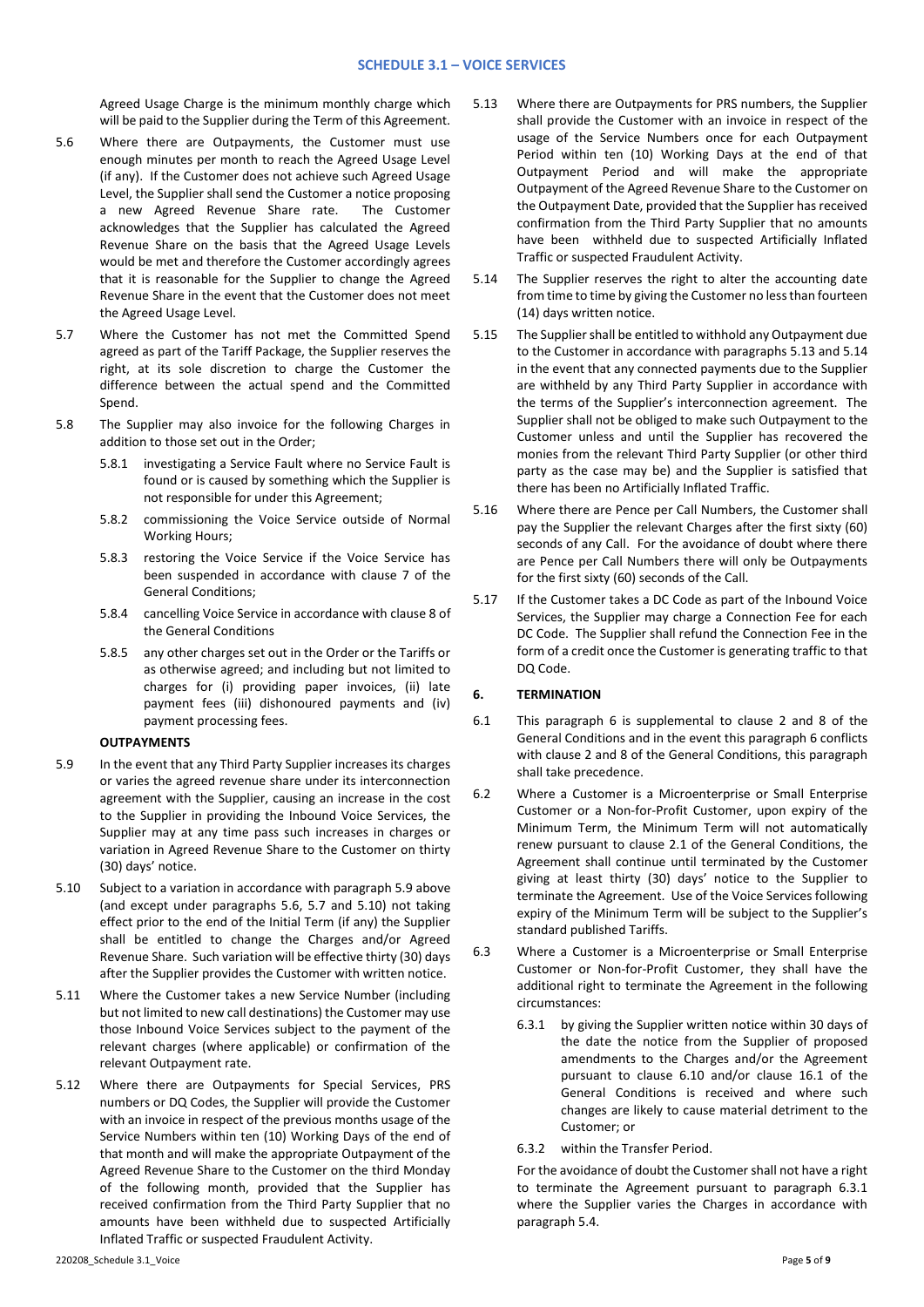### **SCHEDULE 3.1 – VOICE SERVICES**

Agreed Usage Charge is the minimum monthly charge which will be paid to the Supplier during the Term of this Agreement.

- 5.6 Where there are Outpayments, the Customer must use enough minutes per month to reach the Agreed Usage Level (if any). If the Customer does not achieve such Agreed Usage Level, the Supplier shall send the Customer a notice proposing a new Agreed Revenue Share rate. The Customer acknowledges that the Supplier has calculated the Agreed Revenue Share on the basis that the Agreed Usage Levels would be met and therefore the Customer accordingly agrees that it is reasonable for the Supplier to change the Agreed Revenue Share in the event that the Customer does not meet the Agreed Usage Level.
- 5.7 Where the Customer has not met the Committed Spend agreed as part of the Tariff Package, the Supplier reserves the right, at its sole discretion to charge the Customer the difference between the actual spend and the Committed Spend.
- 5.8 The Supplier may also invoice for the following Charges in addition to those set out in the Order;
	- 5.8.1 investigating a Service Fault where no Service Fault is found or is caused by something which the Supplier is not responsible for under this Agreement;
	- 5.8.2 commissioning the Voice Service outside of Normal Working Hours;
	- 5.8.3 restoring the Voice Service if the Voice Service has been suspended in accordance with clause 7 of the General Conditions;
	- 5.8.4 cancelling Voice Service in accordance with clause 8 of the General Conditions
	- 5.8.5 any other charges set out in the Order or the Tariffs or as otherwise agreed; and including but not limited to charges for (i) providing paper invoices, (ii) late payment fees (iii) dishonoured payments and (iv) payment processing fees.

## **OUTPAYMENTS**

- 5.9 In the event that any Third Party Supplier increases its charges or varies the agreed revenue share under its interconnection agreement with the Supplier, causing an increase in the cost to the Supplier in providing the Inbound Voice Services, the Supplier may at any time pass such increases in charges or variation in Agreed Revenue Share to the Customer on thirty (30) days' notice.
- 5.10 Subject to a variation in accordance with paragraph 5.9 above (and except under paragraphs 5.6, 5.7 and 5.10) not taking effect prior to the end of the Initial Term (if any) the Supplier shall be entitled to change the Charges and/or Agreed Revenue Share. Such variation will be effective thirty (30) days after the Supplier provides the Customer with written notice.
- 5.11 Where the Customer takes a new Service Number (including but not limited to new call destinations) the Customer may use those Inbound Voice Services subject to the payment of the relevant charges (where applicable) or confirmation of the relevant Outpayment rate.
- 5.12 Where there are Outpayments for Special Services, PRS numbers or DQ Codes, the Supplier will provide the Customer with an invoice in respect of the previous months usage of the Service Numbers within ten (10) Working Days of the end of that month and will make the appropriate Outpayment of the Agreed Revenue Share to the Customer on the third Monday of the following month, provided that the Supplier has received confirmation from the Third Party Supplier that no amounts have been withheld due to suspected Artificially Inflated Traffic or suspected Fraudulent Activity.
- 5.13 Where there are Outpayments for PRS numbers, the Supplier shall provide the Customer with an invoice in respect of the usage of the Service Numbers once for each Outpayment Period within ten (10) Working Days at the end of that Outpayment Period and will make the appropriate Outpayment of the Agreed Revenue Share to the Customer on the Outpayment Date, provided that the Supplier has received confirmation from the Third Party Supplier that no amounts have been withheld due to suspected Artificially Inflated Traffic or suspected Fraudulent Activity.
- 5.14 The Supplier reserves the right to alter the accounting date from time to time by giving the Customer no less than fourteen (14) days written notice.
- 5.15 The Supplier shall be entitled to withhold any Outpayment due to the Customer in accordance with paragraphs 5.13 and 5.14 in the event that any connected payments due to the Supplier are withheld by any Third Party Supplier in accordance with the terms of the Supplier's interconnection agreement. The Supplier shall not be obliged to make such Outpayment to the Customer unless and until the Supplier has recovered the monies from the relevant Third Party Supplier (or other third party as the case may be) and the Supplier is satisfied that there has been no Artificially Inflated Traffic.
- 5.16 Where there are Pence per Call Numbers, the Customer shall pay the Supplier the relevant Charges after the first sixty (60) seconds of any Call. For the avoidance of doubt where there are Pence per Call Numbers there will only be Outpayments for the first sixty (60) seconds of the Call.
- 5.17 If the Customer takes a DC Code as part of the Inbound Voice Services, the Supplier may charge a Connection Fee for each DC Code. The Supplier shall refund the Connection Fee in the form of a credit once the Customer is generating traffic to that DQ Code.

## **6. TERMINATION**

- 6.1 This paragraph 6 is supplemental to clause 2 and 8 of the General Conditions and in the event this paragraph 6 conflicts with clause 2 and 8 of the General Conditions, this paragraph shall take precedence.
- 6.2 Where a Customer is a Microenterprise or Small Enterprise Customer or a Non-for-Profit Customer, upon expiry of the Minimum Term, the Minimum Term will not automatically renew pursuant to clause 2.1 of the General Conditions, the Agreement shall continue until terminated by the Customer giving at least thirty (30) days' notice to the Supplier to terminate the Agreement. Use of the Voice Services following expiry of the Minimum Term will be subject to the Supplier's standard published Tariffs.
- 6.3 Where a Customer is a Microenterprise or Small Enterprise Customer or Non-for-Profit Customer, they shall have the additional right to terminate the Agreement in the following circumstances:
	- 6.3.1 by giving the Supplier written notice within 30 days of the date the notice from the Supplier of proposed amendments to the Charges and/or the Agreement pursuant to clause 6.10 and/or clause 16.1 of the General Conditions is received and where such changes are likely to cause material detriment to the Customer; or
	- 6.3.2 within the Transfer Period.

For the avoidance of doubt the Customer shall not have a right to terminate the Agreement pursuant to paragraph 6.3.1 where the Supplier varies the Charges in accordance with paragraph 5.4.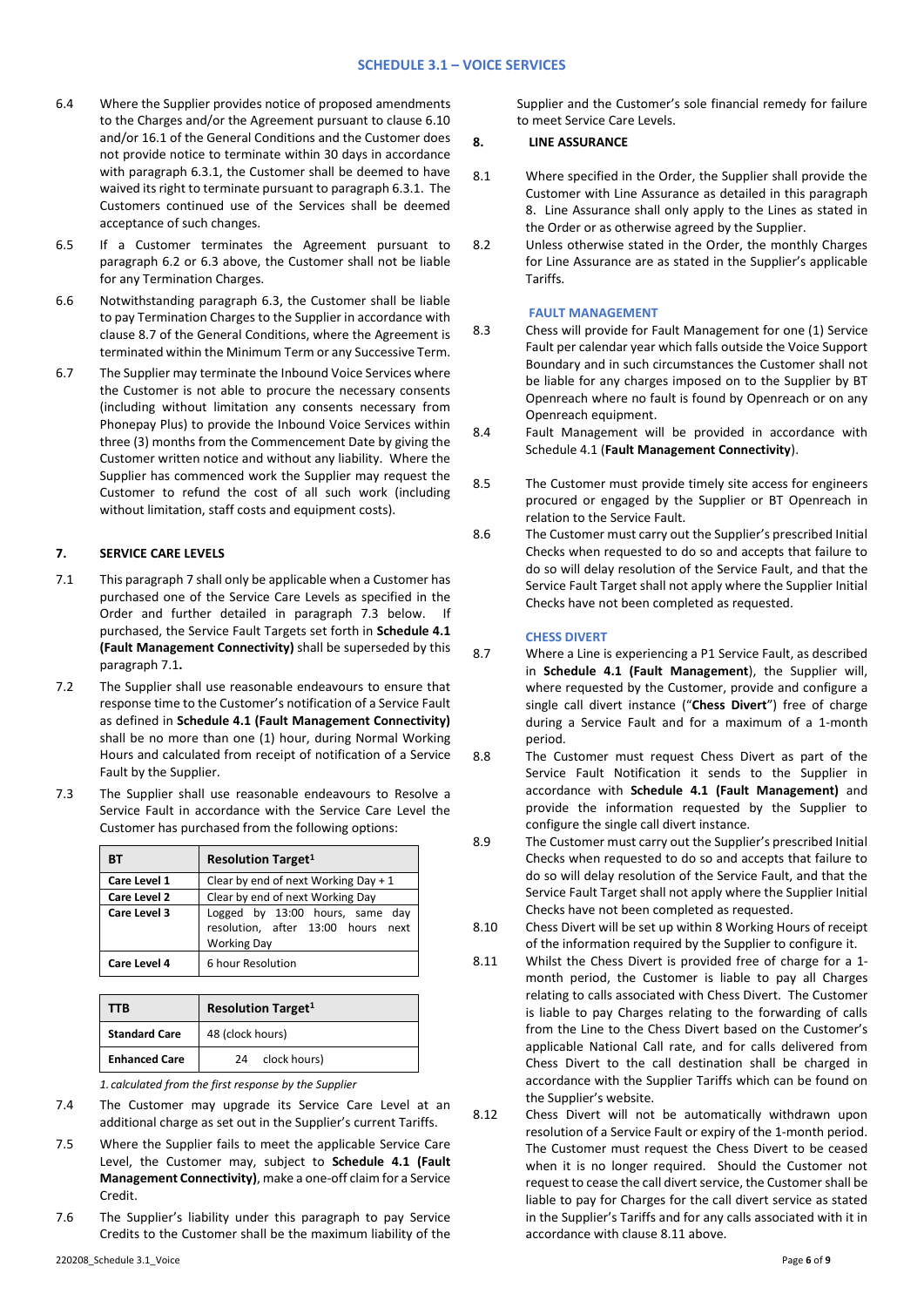- 6.4 Where the Supplier provides notice of proposed amendments to the Charges and/or the Agreement pursuant to clause 6.10 and/or 16.1 of the General Conditions and the Customer does not provide notice to terminate within 30 days in accordance with paragraph 6.3.1, the Customer shall be deemed to have waived its right to terminate pursuant to paragraph 6.3.1. The Customers continued use of the Services shall be deemed acceptance of such changes.
- 6.5 If a Customer terminates the Agreement pursuant to paragraph 6.2 or 6.3 above, the Customer shall not be liable for any Termination Charges.
- 6.6 Notwithstanding paragraph 6.3, the Customer shall be liable to pay Termination Charges to the Supplier in accordance with clause 8.7 of the General Conditions, where the Agreement is terminated within the Minimum Term or any Successive Term.
- 6.7 The Supplier may terminate the Inbound Voice Services where the Customer is not able to procure the necessary consents (including without limitation any consents necessary from Phonepay Plus) to provide the Inbound Voice Services within three (3) months from the Commencement Date by giving the Customer written notice and without any liability. Where the Supplier has commenced work the Supplier may request the Customer to refund the cost of all such work (including without limitation, staff costs and equipment costs).

# **7. SERVICE CARE LEVELS**

- 7.1 This paragraph 7 shall only be applicable when a Customer has purchased one of the Service Care Levels as specified in the Order and further detailed in paragraph 7.3 below. If purchased, the Service Fault Targets set forth in **Schedule 4.1 (Fault Management Connectivity)** shall be superseded by this paragraph 7.1**.**
- 7.2 The Supplier shall use reasonable endeavours to ensure that response time to the Customer's notification of a Service Fault as defined in **Schedule 4.1 (Fault Management Connectivity)** shall be no more than one (1) hour, during Normal Working Hours and calculated from receipt of notification of a Service Fault by the Supplier.
- 7.3 The Supplier shall use reasonable endeavours to Resolve a Service Fault in accordance with the Service Care Level the Customer has purchased from the following options:

| BТ           | <b>Resolution Target1</b>                                                                   |
|--------------|---------------------------------------------------------------------------------------------|
| Care Level 1 | Clear by end of next Working Day $+1$                                                       |
| Care Level 2 | Clear by end of next Working Day                                                            |
| Care Level 3 | Logged by 13:00 hours, same day<br>resolution, after 13:00 hours next<br><b>Working Day</b> |
| Care Level 4 | 6 hour Resolution                                                                           |

| TTB                  | <b>Resolution Target1</b> |
|----------------------|---------------------------|
| <b>Standard Care</b> | 48 (clock hours)          |
| <b>Enhanced Care</b> | clock hours)<br>24        |

*1. calculated from the first response by the Supplier*

- 7.4 The Customer may upgrade its Service Care Level at an additional charge as set out in the Supplier's current Tariffs.
- 7.5 Where the Supplier fails to meet the applicable Service Care Level, the Customer may, subject to **Schedule 4.1 (Fault Management Connectivity)**, make a one-off claim for a Service Credit.
- 7.6 The Supplier's liability under this paragraph to pay Service Credits to the Customer shall be the maximum liability of the

Supplier and the Customer's sole financial remedy for failure to meet Service Care Levels.

### **8. LINE ASSURANCE**

- 8.1 Where specified in the Order, the Supplier shall provide the Customer with Line Assurance as detailed in this paragraph 8. Line Assurance shall only apply to the Lines as stated in the Order or as otherwise agreed by the Supplier.
- 8.2 Unless otherwise stated in the Order, the monthly Charges for Line Assurance are as stated in the Supplier's applicable Tariffs.

### **FAULT MANAGEMENT**

- 8.3 Chess will provide for Fault Management for one (1) Service Fault per calendar year which falls outside the Voice Support Boundary and in such circumstances the Customer shall not be liable for any charges imposed on to the Supplier by BT Openreach where no fault is found by Openreach or on any Openreach equipment.
- 8.4 Fault Management will be provided in accordance with Schedule 4.1 (**Fault Management Connectivity**).
- 8.5 The Customer must provide timely site access for engineers procured or engaged by the Supplier or BT Openreach in relation to the Service Fault.
- 8.6 The Customer must carry out the Supplier's prescribed Initial Checks when requested to do so and accepts that failure to do so will delay resolution of the Service Fault, and that the Service Fault Target shall not apply where the Supplier Initial Checks have not been completed as requested.

# **CHESS DIVERT**

- 8.7 Where a Line is experiencing a P1 Service Fault, as described in **Schedule 4.1 (Fault Management**), the Supplier will, where requested by the Customer, provide and configure a single call divert instance ("**Chess Divert**") free of charge during a Service Fault and for a maximum of a 1-month period.
- 8.8 The Customer must request Chess Divert as part of the Service Fault Notification it sends to the Supplier in accordance with **Schedule 4.1 (Fault Management)** and provide the information requested by the Supplier to configure the single call divert instance.
- 8.9 The Customer must carry out the Supplier's prescribed Initial Checks when requested to do so and accepts that failure to do so will delay resolution of the Service Fault, and that the Service Fault Target shall not apply where the Supplier Initial Checks have not been completed as requested.
- 8.10 Chess Divert will be set up within 8 Working Hours of receipt of the information required by the Supplier to configure it.
- 8.11 Whilst the Chess Divert is provided free of charge for a 1 month period, the Customer is liable to pay all Charges relating to calls associated with Chess Divert. The Customer is liable to pay Charges relating to the forwarding of calls from the Line to the Chess Divert based on the Customer's applicable National Call rate, and for calls delivered from Chess Divert to the call destination shall be charged in accordance with the Supplier Tariffs which can be found on the Supplier's website.
- 8.12 Chess Divert will not be automatically withdrawn upon resolution of a Service Fault or expiry of the 1-month period. The Customer must request the Chess Divert to be ceased when it is no longer required. Should the Customer not request to cease the call divert service, the Customer shall be liable to pay for Charges for the call divert service as stated in the Supplier's Tariffs and for any calls associated with it in accordance with clause 8.11 above.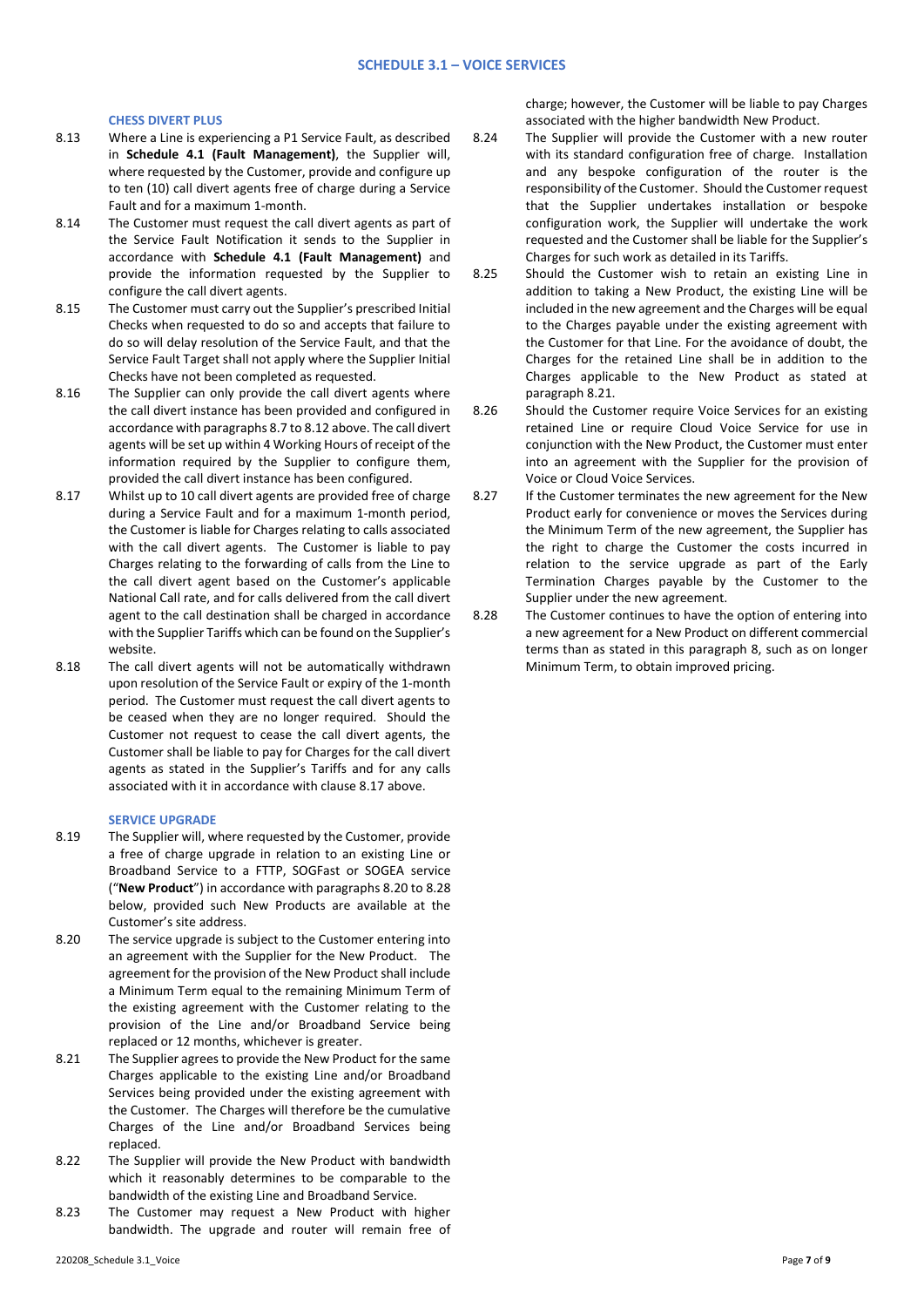#### **CHESS DIVERT PLUS**

- 8.13 Where a Line is experiencing a P1 Service Fault, as described in **Schedule 4.1 (Fault Management)**, the Supplier will, where requested by the Customer, provide and configure up to ten (10) call divert agents free of charge during a Service Fault and for a maximum 1-month.
- 8.14 The Customer must request the call divert agents as part of the Service Fault Notification it sends to the Supplier in accordance with **Schedule 4.1 (Fault Management)** and provide the information requested by the Supplier to configure the call divert agents.
- 8.15 The Customer must carry out the Supplier's prescribed Initial Checks when requested to do so and accepts that failure to do so will delay resolution of the Service Fault, and that the Service Fault Target shall not apply where the Supplier Initial Checks have not been completed as requested.
- 8.16 The Supplier can only provide the call divert agents where the call divert instance has been provided and configured in accordance with paragraphs 8.7 to 8.12 above. The call divert agents will be set up within 4 Working Hours of receipt of the information required by the Supplier to configure them, provided the call divert instance has been configured.
- 8.17 Whilst up to 10 call divert agents are provided free of charge during a Service Fault and for a maximum 1-month period, the Customer is liable for Charges relating to calls associated with the call divert agents. The Customer is liable to pay Charges relating to the forwarding of calls from the Line to the call divert agent based on the Customer's applicable National Call rate, and for calls delivered from the call divert agent to the call destination shall be charged in accordance with the Supplier Tariffs which can be found on the Supplier's website.
- 8.18 The call divert agents will not be automatically withdrawn upon resolution of the Service Fault or expiry of the 1-month period. The Customer must request the call divert agents to be ceased when they are no longer required. Should the Customer not request to cease the call divert agents, the Customer shall be liable to pay for Charges for the call divert agents as stated in the Supplier's Tariffs and for any calls associated with it in accordance with clause 8.17 above.

## **SERVICE UPGRADE**

- 8.19 The Supplier will, where requested by the Customer, provide a free of charge upgrade in relation to an existing Line or Broadband Service to a FTTP, SOGFast or SOGEA service ("**New Product**") in accordance with paragraphs 8.20 to 8.28 below, provided such New Products are available at the Customer's site address.
- 8.20 The service upgrade is subject to the Customer entering into an agreement with the Supplier for the New Product. The agreement for the provision of the New Product shall include a Minimum Term equal to the remaining Minimum Term of the existing agreement with the Customer relating to the provision of the Line and/or Broadband Service being replaced or 12 months, whichever is greater.
- 8.21 The Supplier agrees to provide the New Product for the same Charges applicable to the existing Line and/or Broadband Services being provided under the existing agreement with the Customer. The Charges will therefore be the cumulative Charges of the Line and/or Broadband Services being replaced.
- 8.22 The Supplier will provide the New Product with bandwidth which it reasonably determines to be comparable to the bandwidth of the existing Line and Broadband Service.
- 8.23 The Customer may request a New Product with higher bandwidth. The upgrade and router will remain free of

charge; however, the Customer will be liable to pay Charges associated with the higher bandwidth New Product.

- 8.24 The Supplier will provide the Customer with a new router with its standard configuration free of charge. Installation and any bespoke configuration of the router is the responsibility of the Customer. Should the Customer request that the Supplier undertakes installation or bespoke configuration work, the Supplier will undertake the work requested and the Customer shall be liable for the Supplier's Charges for such work as detailed in its Tariffs.
- 8.25 Should the Customer wish to retain an existing Line in addition to taking a New Product, the existing Line will be included in the new agreement and the Charges will be equal to the Charges payable under the existing agreement with the Customer for that Line. For the avoidance of doubt, the Charges for the retained Line shall be in addition to the Charges applicable to the New Product as stated at paragraph 8.21.
- 8.26 Should the Customer require Voice Services for an existing retained Line or require Cloud Voice Service for use in conjunction with the New Product, the Customer must enter into an agreement with the Supplier for the provision of Voice or Cloud Voice Services.
- 8.27 If the Customer terminates the new agreement for the New Product early for convenience or moves the Services during the Minimum Term of the new agreement, the Supplier has the right to charge the Customer the costs incurred in relation to the service upgrade as part of the Early Termination Charges payable by the Customer to the Supplier under the new agreement.
- 8.28 The Customer continues to have the option of entering into a new agreement for a New Product on different commercial terms than as stated in this paragraph 8, such as on longer Minimum Term, to obtain improved pricing.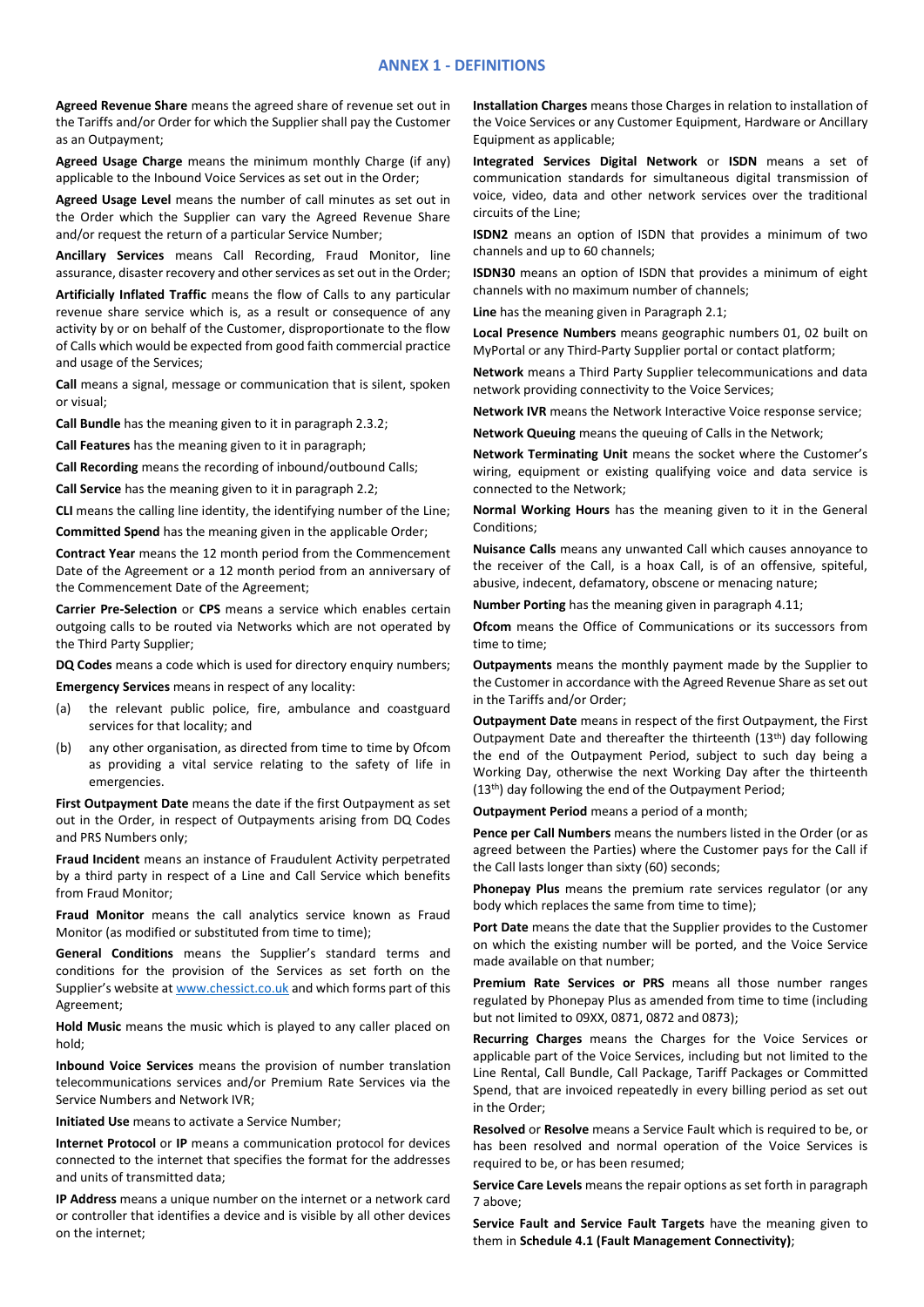### **ANNEX 1 - DEFINITIONS**

**Agreed Revenue Share** means the agreed share of revenue set out in the Tariffs and/or Order for which the Supplier shall pay the Customer as an Outpayment;

**Agreed Usage Charge** means the minimum monthly Charge (if any) applicable to the Inbound Voice Services as set out in the Order;

**Agreed Usage Level** means the number of call minutes as set out in the Order which the Supplier can vary the Agreed Revenue Share and/or request the return of a particular Service Number;

**Ancillary Services** means Call Recording, Fraud Monitor, line assurance, disaster recovery and other services as set out in the Order;

**Artificially Inflated Traffic** means the flow of Calls to any particular revenue share service which is, as a result or consequence of any activity by or on behalf of the Customer, disproportionate to the flow of Calls which would be expected from good faith commercial practice and usage of the Services;

**Call** means a signal, message or communication that is silent, spoken or visual;

**Call Bundle** has the meaning given to it in paragraph 2.3.2;

**Call Features** has the meaning given to it in paragraph;

**Call Recording** means the recording of inbound/outbound Calls;

**Call Service** has the meaning given to it in paragraph 2.2;

**CLI** means the calling line identity, the identifying number of the Line;

**Committed Spend** has the meaning given in the applicable Order;

**Contract Year** means the 12 month period from the Commencement Date of the Agreement or a 12 month period from an anniversary of the Commencement Date of the Agreement;

**Carrier Pre-Selection** or **CPS** means a service which enables certain outgoing calls to be routed via Networks which are not operated by the Third Party Supplier;

**DQ Codes** means a code which is used for directory enquiry numbers;

**Emergency Services** means in respect of any locality:

- (a) the relevant public police, fire, ambulance and coastguard services for that locality; and
- (b) any other organisation, as directed from time to time by Ofcom as providing a vital service relating to the safety of life in emergencies.

**First Outpayment Date** means the date if the first Outpayment as set out in the Order, in respect of Outpayments arising from DQ Codes and PRS Numbers only;

**Fraud Incident** means an instance of Fraudulent Activity perpetrated by a third party in respect of a Line and Call Service which benefits from Fraud Monitor;

**Fraud Monitor** means the call analytics service known as Fraud Monitor (as modified or substituted from time to time);

**General Conditions** means the Supplier's standard terms and conditions for the provision of the Services as set forth on the Supplier's website at [www.chessict.co.uk](http://www.chessict.co.uk/) and which forms part of this Agreement;

**Hold Music** means the music which is played to any caller placed on hold;

**Inbound Voice Services** means the provision of number translation telecommunications services and/or Premium Rate Services via the Service Numbers and Network IVR;

**Initiated Use** means to activate a Service Number;

**Internet Protocol** or **IP** means a communication protocol for devices connected to the internet that specifies the format for the addresses and units of transmitted data;

**IP Address** means a unique number on the internet or a network card or controller that identifies a device and is visible by all other devices on the internet;

**Installation Charges** means those Charges in relation to installation of the Voice Services or any Customer Equipment, Hardware or Ancillary Equipment as applicable;

**Integrated Services Digital Network** or **ISDN** means a set of communication standards for simultaneous digital transmission of voice, video, data and other network services over the traditional circuits of the Line;

**ISDN2** means an option of ISDN that provides a minimum of two channels and up to 60 channels;

**ISDN30** means an option of ISDN that provides a minimum of eight channels with no maximum number of channels;

**Line** has the meaning given in Paragraph 2.1;

**Local Presence Numbers** means geographic numbers 01, 02 built on MyPortal or any Third-Party Supplier portal or contact platform;

**Network** means a Third Party Supplier telecommunications and data network providing connectivity to the Voice Services;

**Network IVR** means the Network Interactive Voice response service;

**Network Queuing** means the queuing of Calls in the Network;

**Network Terminating Unit** means the socket where the Customer's wiring, equipment or existing qualifying voice and data service is connected to the Network;

**Normal Working Hours** has the meaning given to it in the General Conditions;

**Nuisance Calls** means any unwanted Call which causes annoyance to the receiver of the Call, is a hoax Call, is of an offensive, spiteful, abusive, indecent, defamatory, obscene or menacing nature;

**Number Porting** has the meaning given in paragraph 4.11;

**Ofcom** means the Office of Communications or its successors from time to time;

**Outpayments** means the monthly payment made by the Supplier to the Customer in accordance with the Agreed Revenue Share as set out in the Tariffs and/or Order;

**Outpayment Date** means in respect of the first Outpayment, the First Outpayment Date and thereafter the thirteenth (13<sup>th</sup>) day following the end of the Outpayment Period, subject to such day being a Working Day, otherwise the next Working Day after the thirteenth (13th) day following the end of the Outpayment Period;

**Outpayment Period** means a period of a month;

**Pence per Call Numbers** means the numbers listed in the Order (or as agreed between the Parties) where the Customer pays for the Call if the Call lasts longer than sixty (60) seconds;

**Phonepay Plus** means the premium rate services regulator (or any body which replaces the same from time to time);

**Port Date** means the date that the Supplier provides to the Customer on which the existing number will be ported, and the Voice Service made available on that number;

**Premium Rate Services or PRS** means all those number ranges regulated by Phonepay Plus as amended from time to time (including but not limited to 09XX, 0871, 0872 and 0873);

**Recurring Charges** means the Charges for the Voice Services or applicable part of the Voice Services, including but not limited to the Line Rental, Call Bundle, Call Package, Tariff Packages or Committed Spend, that are invoiced repeatedly in every billing period as set out in the Order;

**Resolved** or **Resolve** means a Service Fault which is required to be, or has been resolved and normal operation of the Voice Services is required to be, or has been resumed;

**Service Care Levels** means the repair options as set forth in paragraph 7 above;

**Service Fault and Service Fault Targets** have the meaning given to them in **Schedule 4.1 (Fault Management Connectivity)**;